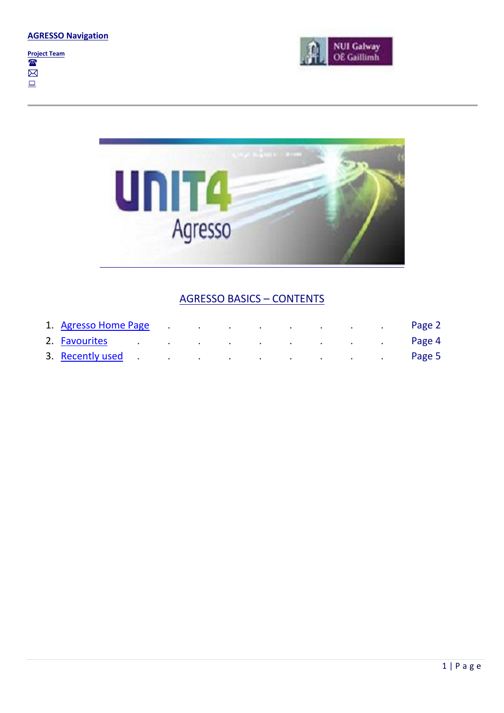





### AGRESSO BASICS – CONTENTS

| 1. Agresso Home Page |                                                                                                 | and the state of the |  | the contract of the contract of the contract of the contract of the contract of the contract of |  | Page 2 |
|----------------------|-------------------------------------------------------------------------------------------------|----------------------|--|-------------------------------------------------------------------------------------------------|--|--------|
| 2. Favourites        | the contract of the contract of the contract of the contract of the contract of the contract of |                      |  |                                                                                                 |  | Page 4 |
| 3. Recently used     | the contract of the contract of the contract of the contract of the contract of                 |                      |  |                                                                                                 |  | Page 5 |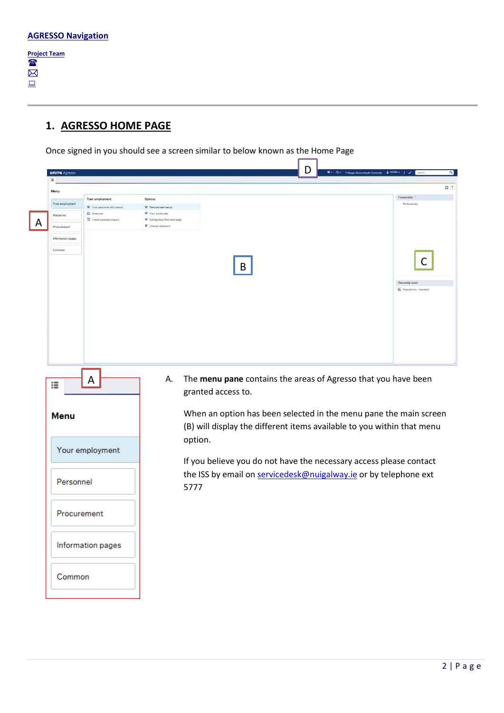**Project Team** The  $\boxtimes$  $\Box$ 

## <span id="page-1-0"></span>**1. AGRESSO HOME PAGE**

Once signed in you should see a screen similar to below known as the Home Page

| Menu              |                                     |                                                  |                                                                                                                                             |
|-------------------|-------------------------------------|--------------------------------------------------|---------------------------------------------------------------------------------------------------------------------------------------------|
|                   | Your employment                     | Options                                          | Favourites                                                                                                                                  |
| Your employment   | Your personnel information          | * Personal alert setup                           | No favourites                                                                                                                               |
| Personnel         | Absences<br>Travel expenses enquiry | * Your substitutes<br>Set Agresso Web start page |                                                                                                                                             |
| Procurement       |                                     | * Change password                                |                                                                                                                                             |
|                   |                                     |                                                  |                                                                                                                                             |
| Information pages |                                     |                                                  |                                                                                                                                             |
| Common            |                                     |                                                  |                                                                                                                                             |
|                   |                                     | B                                                | C<br><b>Recently used</b><br>Requisitions - standard                                                                                        |
|                   | A                                   | А.                                               | The menu pane contains the areas of Agresso that you have been                                                                              |
| ፧≣<br><b>Menu</b> |                                     | granted access to.                               | When an option has been selected in the menu pane the main screen<br>(B) will display the different items available to you within that menu |
|                   | Your employment                     | option.                                          |                                                                                                                                             |
|                   |                                     |                                                  | If you believe you do not have the necessary access please contact                                                                          |
|                   | Personnel                           | 5777                                             | the ISS by email on servicedesk@nuigalway.ie or by telephone ext                                                                            |
|                   | Procurement                         |                                                  |                                                                                                                                             |
|                   | Information pages                   |                                                  |                                                                                                                                             |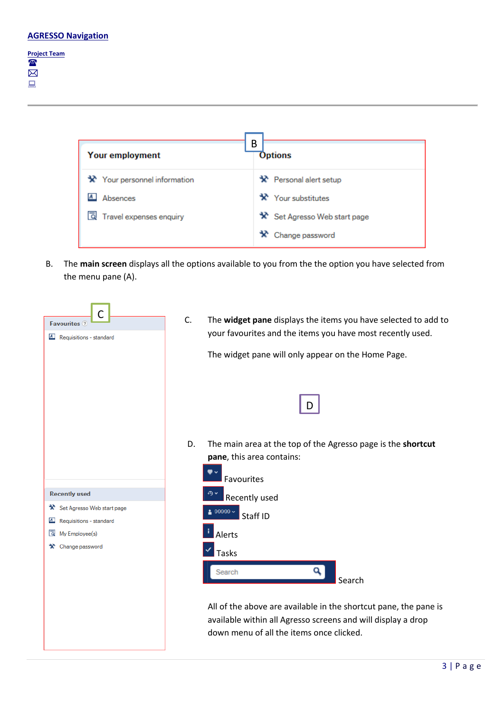#### **Project Team** The  $\bar{\boxtimes}$  $\Box$

| Your employment                     | В<br><b>Options</b>                 |
|-------------------------------------|-------------------------------------|
| <b>*</b> Your personnel information | <b>*</b> Personal alert setup       |
| Absences                            | $\mathbf{\hat{x}}$ Your substitutes |
| Travel expenses enquiry<br>Q        | Set Agresso Web start page          |
|                                     | * Change password                   |

B. The **main screen** displays all the options available to you from the the option you have selected from the menu pane (A).

| $\mathsf{C}$<br><b>Favourites</b> ?<br>A Requisitions - standard                                                   | C.<br>The widget pane displays the items you have selected to add to<br>your favourites and the items you have most recently used.<br>The widget pane will only appear on the Home Page.                                   |
|--------------------------------------------------------------------------------------------------------------------|----------------------------------------------------------------------------------------------------------------------------------------------------------------------------------------------------------------------------|
| <b>Recently used</b><br>$\mathbf{\hat{x}}$ Set Agresso Web start page<br>Requisitions - standard<br>$\overline{A}$ | The main area at the top of the Agresso page is the shortcut<br>D.<br>pane, this area contains:<br>Favourites<br>Recently used<br>$99999 -$<br>Staff ID                                                                    |
| My Employee(s)<br>向<br>Change password<br>x                                                                        | Alerts<br><b>Tasks</b><br>Search<br>Search<br>All of the above are available in the shortcut pane, the pane is<br>available within all Agresso screens and will display a drop<br>down menu of all the items once clicked. |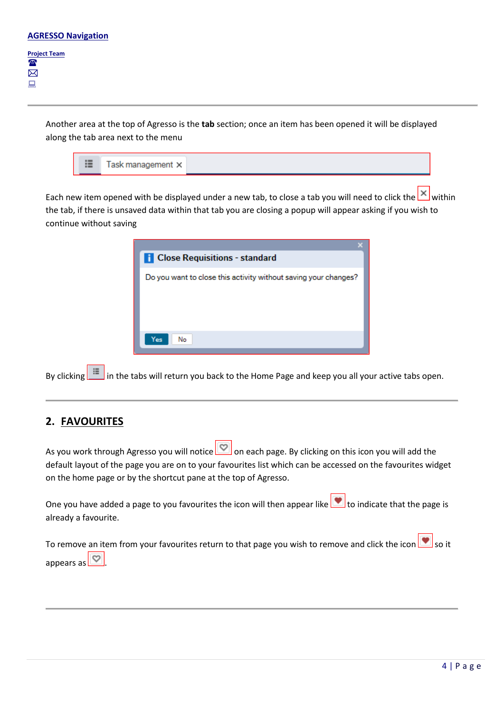$\boxtimes$  $\Box$ 

> Another area at the top of Agresso is the **tab** section; once an item has been opened it will be displayed along the tab area next to the menu

| 這<br>Task management × |
|------------------------|

Each new item opened with be displayed under a new tab, to close a tab you will need to click the within the tab, if there is unsaved data within that tab you are closing a popup will appear asking if you wish to continue without saving



By clicking in the tabs will return you back to the Home Page and keep you all your active tabs open.

# <span id="page-3-0"></span>**2. FAVOURITES**

As you work through Agresso you will notice on each page. By clicking on this icon you will add the default layout of the page you are on to your favourites list which can be accessed on the favourites widget on the home page or by the shortcut pane at the top of Agresso.

One you have added a page to you favourites the icon will then appear like  $\Box$  to indicate that the page is already a favourite.

To remove an item from your favourites return to that page you wish to remove and click the icon  $\Box$  so it appears as  $\boxed{\heartsuit}$